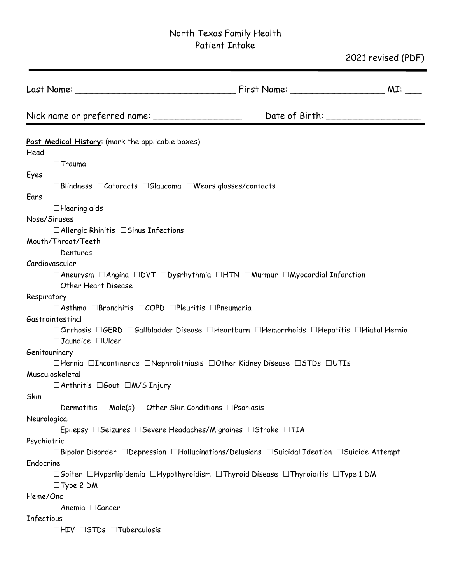# North Texas Family Health Patient Intake

2021 revised (PDF)

|                                                                                 |                                                                                                                                   | MI: |
|---------------------------------------------------------------------------------|-----------------------------------------------------------------------------------------------------------------------------------|-----|
| Nick name or preferred name: ______                                             | Date of Birth: _______________                                                                                                    |     |
| Past Medical History: (mark the applicable boxes)                               |                                                                                                                                   |     |
| Head                                                                            |                                                                                                                                   |     |
| $\Box$ Trauma                                                                   |                                                                                                                                   |     |
| Eyes                                                                            |                                                                                                                                   |     |
| $\Box$ Blindness $\Box$ Cataracts $\Box$ Glaucoma $\Box$ Wears glasses/contacts |                                                                                                                                   |     |
| Ears                                                                            |                                                                                                                                   |     |
| $\Box$ Hearing aids                                                             |                                                                                                                                   |     |
| Nose/Sinuses                                                                    |                                                                                                                                   |     |
| $\Box$ Allergic Rhinitis $\Box$ Sinus Infections                                |                                                                                                                                   |     |
| Mouth/Throat/Teeth                                                              |                                                                                                                                   |     |
| $\Box$ Dentures                                                                 |                                                                                                                                   |     |
| Cardiovascular                                                                  |                                                                                                                                   |     |
| □ Other Heart Disease                                                           | $\Box$ Aneurysm $\Box$ Angina $\Box$ DVT $\Box$ Dysrhythmia $\Box$ HTN $\Box$ Murmur $\Box$ Myocardial Infarction                 |     |
| Respiratory                                                                     |                                                                                                                                   |     |
| □Asthma □Bronchitis □COPD □Pleuritis □Pneumonia                                 |                                                                                                                                   |     |
| Gastrointestinal                                                                |                                                                                                                                   |     |
| $\Box$ Jaundice $\Box$ Ulcer                                                    | $\Box$ Cirrhosis $\Box$ GERD $\Box$ Gallbladder Disease $\Box$ Heartburn $\Box$ Hemorrhoids $\Box$ Hepatitis $\Box$ Hiatal Hernia |     |
| Genitourinary                                                                   |                                                                                                                                   |     |
|                                                                                 | $\Box$ Hernia $\Box$ Incontinence $\Box$ Nephrolithiasis $\Box$ Other Kidney Disease $\Box$ STDs $\Box$ UTIs                      |     |
| Musculoskeletal                                                                 |                                                                                                                                   |     |
| $\Box$ Arthritis $\Box$ Gout $\Box$ M/S Injury                                  |                                                                                                                                   |     |
| Skin                                                                            |                                                                                                                                   |     |
| $\Box$ Dermatitis $\Box$ Mole(s) $\Box$ Other Skin Conditions $\Box$ Psoriasis  |                                                                                                                                   |     |
| Neurological                                                                    |                                                                                                                                   |     |
| □Epilepsy □Seizures □Severe Headaches/Migraines □Stroke □TIA                    |                                                                                                                                   |     |
| Psychiatric                                                                     |                                                                                                                                   |     |
|                                                                                 | $\Box$ Bipolar Disorder $\Box$ Depression $\Box$ Hallucinations/Delusions $\Box$ Suicidal Ideation $\Box$ Suicide Attempt         |     |
| Endocrine                                                                       |                                                                                                                                   |     |
| $\Box$ Type 2 DM                                                                | $\Box$ Goiter $\Box$ Hyperlipidemia $\Box$ Hypothyroidism $\Box$ Thyroid Disease $\Box$ Thyroiditis $\Box$ Type 1 DM              |     |
| Heme/Onc                                                                        |                                                                                                                                   |     |
| $\Box$ Anemia $\Box$ Cancer                                                     |                                                                                                                                   |     |
| Infectious                                                                      |                                                                                                                                   |     |
| $\Box$ HIV $\Box$ STDs $\Box$ Tuberculosis                                      |                                                                                                                                   |     |
|                                                                                 |                                                                                                                                   |     |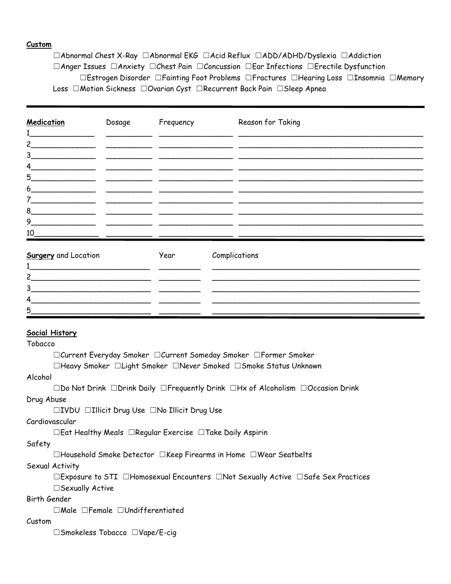#### **Custom**

☐Abnormal Chest X-Ray ☐Abnormal EKG ☐Acid Reflux ☐ADD/ADHD/Dyslexia ☐Addiction ☐Anger Issues ☐Anxiety ☐Chest Pain ☐Concussion ☐Ear Infections ☐Erectile Dysfunction ☐Estrogen Disorder ☐Fainting Foot Problems ☐Fractures ☐Hearing Loss ☐Insomnia ☐Memory Loss ☐Motion Sickness ☐Ovarian Cyst ☐Recurrent Back Pain ☐Sleep Apnea

| Medication                                                                                                                                           | Dosage                                       | Frequency                                                                                                             | Reason for Taking |
|------------------------------------------------------------------------------------------------------------------------------------------------------|----------------------------------------------|-----------------------------------------------------------------------------------------------------------------------|-------------------|
| $2 \overline{\phantom{a}}$                                                                                                                           |                                              |                                                                                                                       |                   |
| 3<br>$\begin{array}{c} \begin{array}{c} \begin{array}{c} \begin{array}{c} \end{array} \\ \end{array} \end{array} \end{array} \end{array}$            |                                              | <u> 1989 - Johann Johnson, martin amerikan basar dan berketapan dalam pengaran basar dalam basar dalam basar dala</u> |                   |
| 4                                                                                                                                                    |                                              |                                                                                                                       |                   |
| 5                                                                                                                                                    |                                              |                                                                                                                       |                   |
| 6                                                                                                                                                    |                                              |                                                                                                                       |                   |
| 7<br><u> 1990 - Johann Barbara, martin a</u>                                                                                                         |                                              |                                                                                                                       |                   |
| 8<br>the control of the control of the                                                                                                               | the control of the control of the control of |                                                                                                                       |                   |
| 9                                                                                                                                                    |                                              |                                                                                                                       |                   |
| 10                                                                                                                                                   |                                              |                                                                                                                       |                   |
| <b>Surgery</b> and Location<br><u> 1980 - Jan Berlin, margaret amerikan bizkai dalam personal dan berlindak dan berlindak dan berlindak dan berl</u> |                                              | Year                                                                                                                  | Complications     |
| 3                                                                                                                                                    |                                              |                                                                                                                       |                   |
| <u> 1989 - Andrea Andrews, Amerikaansk politik (* 1958)</u><br>4                                                                                     |                                              |                                                                                                                       |                   |
| 5                                                                                                                                                    |                                              |                                                                                                                       |                   |

#### **Social History**

Tobacco

☐Current Everyday Smoker ☐Current Someday Smoker ☐Former Smoker

☐Heavy Smoker ☐Light Smoker ☐Never Smoked ☐Smoke Status Unknown

#### Alcohol

☐Do Not Drink ☐Drink Daily ☐Frequently Drink ☐Hx of Alcoholism ☐Occasion Drink Drug Abuse

☐IVDU ☐Illicit Drug Use ☐No Illicit Drug Use

#### Cardiovascular

☐Eat Healthy Meals ☐Regular Exercise ☐Take Daily Aspirin

#### Safety

☐Household Smoke Detector ☐Keep Firearms in Home ☐Wear Seatbelts

#### Sexual Activity

☐Exposure to STI ☐Homosexual Encounters ☐Not Sexually Active ☐Safe Sex Practices ☐Sexually Active

#### Birth Gender

☐Male ☐Female ☐Undifferentiated

#### Custom

☐Smokeless Tobacco ☐Vape/E-cig